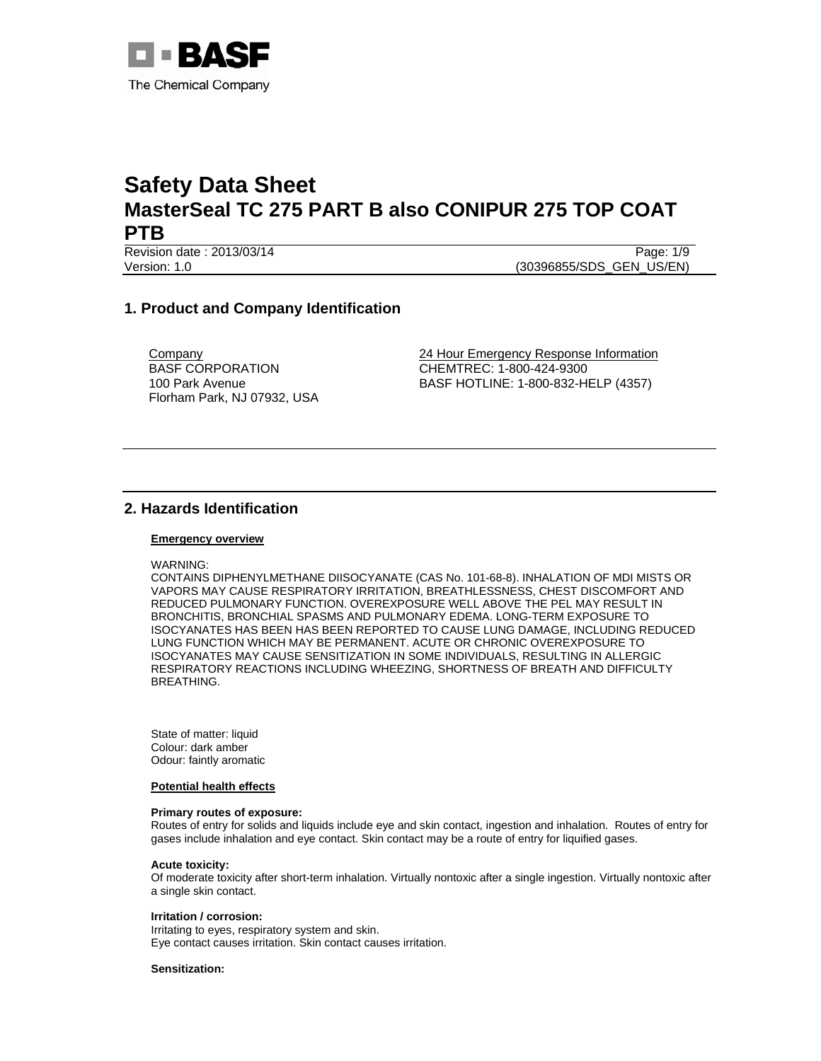

Revision date : 2013/03/14 Page: 1/9 Version: 1.0 (30396855/SDS\_GEN\_US/EN)

# **1. Product and Company Identification**

**Company** BASF CORPORATION 100 Park Avenue Florham Park, NJ 07932, USA 24 Hour Emergency Response Information CHEMTREC: 1-800-424-9300 BASF HOTLINE: 1-800-832-HELP (4357)

# **2. Hazards Identification**

## **Emergency overview**

WARNING:

CONTAINS DIPHENYLMETHANE DIISOCYANATE (CAS No. 101-68-8). INHALATION OF MDI MISTS OR VAPORS MAY CAUSE RESPIRATORY IRRITATION, BREATHLESSNESS, CHEST DISCOMFORT AND REDUCED PULMONARY FUNCTION. OVEREXPOSURE WELL ABOVE THE PEL MAY RESULT IN BRONCHITIS, BRONCHIAL SPASMS AND PULMONARY EDEMA. LONG-TERM EXPOSURE TO ISOCYANATES HAS BEEN HAS BEEN REPORTED TO CAUSE LUNG DAMAGE, INCLUDING REDUCED LUNG FUNCTION WHICH MAY BE PERMANENT. ACUTE OR CHRONIC OVEREXPOSURE TO ISOCYANATES MAY CAUSE SENSITIZATION IN SOME INDIVIDUALS, RESULTING IN ALLERGIC RESPIRATORY REACTIONS INCLUDING WHEEZING, SHORTNESS OF BREATH AND DIFFICULTY BREATHING.

State of matter: liquid Colour: dark amber Odour: faintly aromatic

#### **Potential health effects**

#### **Primary routes of exposure:**

Routes of entry for solids and liquids include eye and skin contact, ingestion and inhalation. Routes of entry for gases include inhalation and eye contact. Skin contact may be a route of entry for liquified gases.

## **Acute toxicity:**

Of moderate toxicity after short-term inhalation. Virtually nontoxic after a single ingestion. Virtually nontoxic after a single skin contact.

## **Irritation / corrosion:**

Irritating to eyes, respiratory system and skin. Eye contact causes irritation. Skin contact causes irritation.

## **Sensitization:**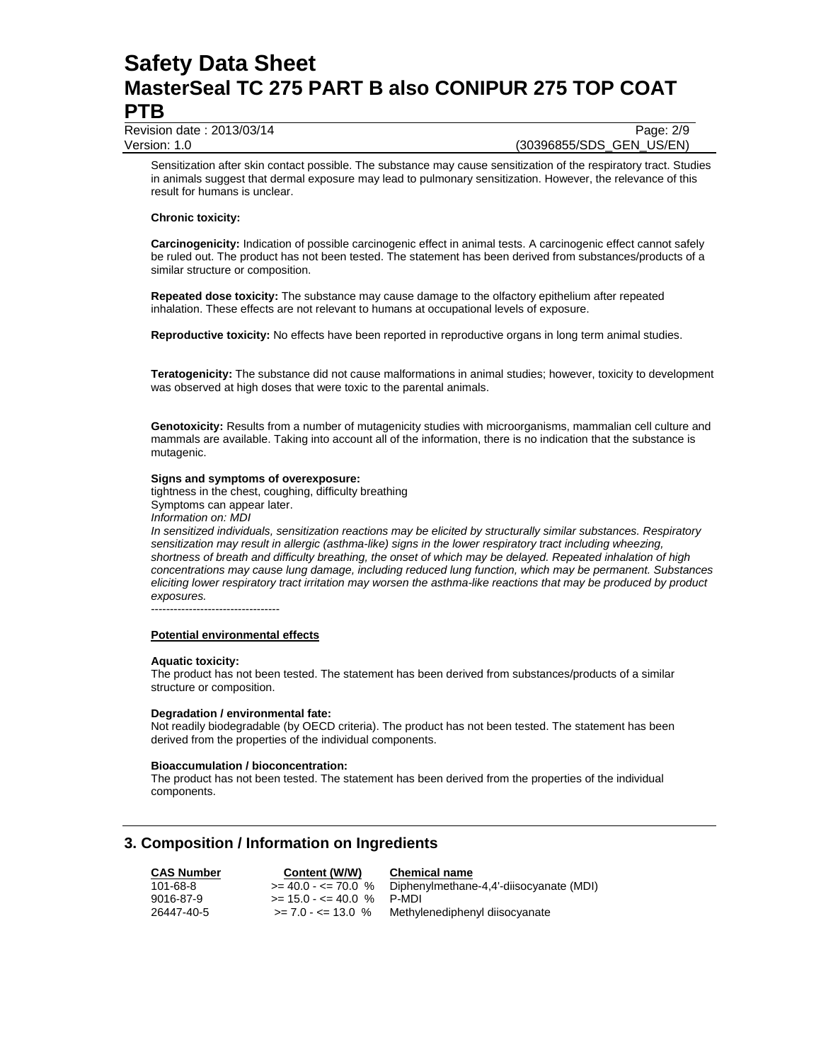Revision date : 2013/03/14 Page: 2/9

Version: 1.0 (30396855/SDS\_GEN\_US/EN)

Sensitization after skin contact possible. The substance may cause sensitization of the respiratory tract. Studies in animals suggest that dermal exposure may lead to pulmonary sensitization. However, the relevance of this result for humans is unclear.

## **Chronic toxicity:**

**Carcinogenicity:** Indication of possible carcinogenic effect in animal tests. A carcinogenic effect cannot safely be ruled out. The product has not been tested. The statement has been derived from substances/products of a similar structure or composition.

**Repeated dose toxicity:** The substance may cause damage to the olfactory epithelium after repeated inhalation. These effects are not relevant to humans at occupational levels of exposure.

**Reproductive toxicity:** No effects have been reported in reproductive organs in long term animal studies.

**Teratogenicity:** The substance did not cause malformations in animal studies; however, toxicity to development was observed at high doses that were toxic to the parental animals.

**Genotoxicity:** Results from a number of mutagenicity studies with microorganisms, mammalian cell culture and mammals are available. Taking into account all of the information, there is no indication that the substance is mutagenic.

## **Signs and symptoms of overexposure:**

tightness in the chest, coughing, difficulty breathing Symptoms can appear later.

*Information on: MDI* 

*In sensitized individuals, sensitization reactions may be elicited by structurally similar substances. Respiratory sensitization may result in allergic (asthma-like) signs in the lower respiratory tract including wheezing, shortness of breath and difficulty breathing, the onset of which may be delayed. Repeated inhalation of high concentrations may cause lung damage, including reduced lung function, which may be permanent. Substances eliciting lower respiratory tract irritation may worsen the asthma-like reactions that may be produced by product exposures.* 

----------------------------------

## **Potential environmental effects**

#### **Aquatic toxicity:**

The product has not been tested. The statement has been derived from substances/products of a similar structure or composition.

#### **Degradation / environmental fate:**

Not readily biodegradable (by OECD criteria). The product has not been tested. The statement has been derived from the properties of the individual components.

### **Bioaccumulation / bioconcentration:**

The product has not been tested. The statement has been derived from the properties of the individual components.

# **3. Composition / Information on Ingredients**

**CAS Number Content (W/W) Chemical name** 101-68-8  $>= 40.0 - \le 70.0 \%$  Diphenylmethane-4,4'-diisocyanate (MDI)<br>9016-87-9  $>= 15.0 - \le 40.0 \%$  P-MDI 9016-87-9 >= 15.0 - <= 40.0 % P-MDI<br>26447-40-5 >= 7.0 - <= 13.0 % Methyl Methylenediphenyl diisocyanate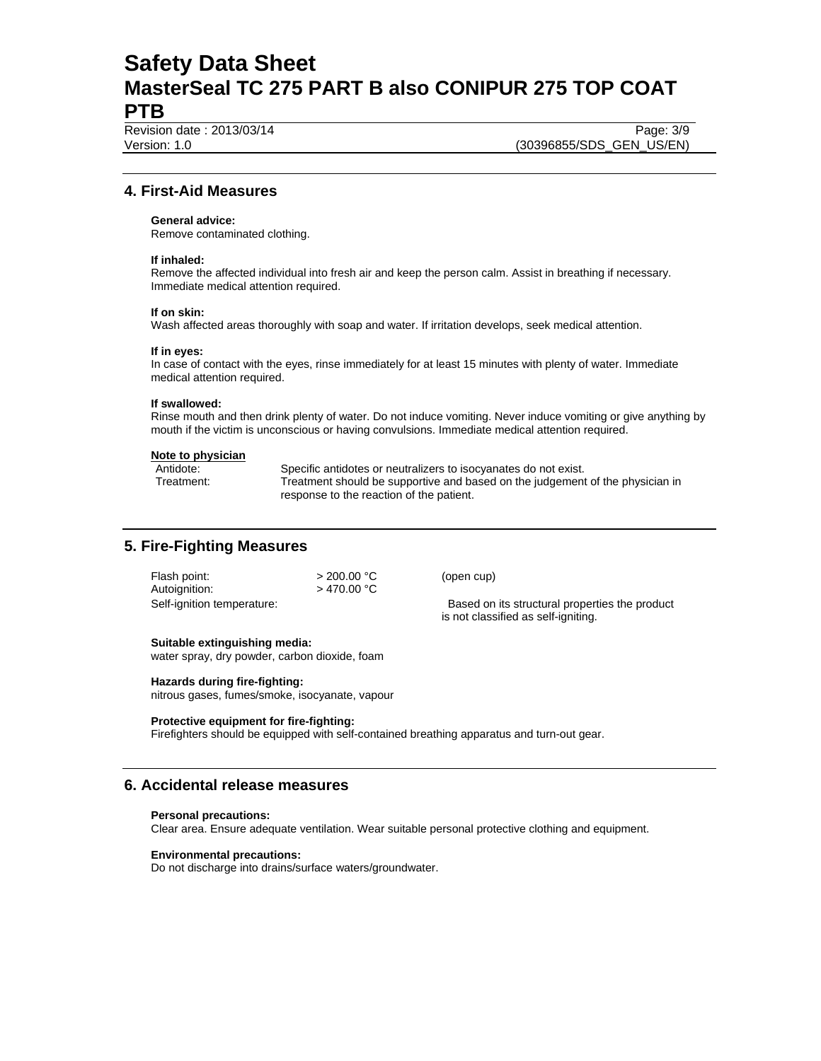Revision date : 2013/03/14 Page: 3/9

Version: 1.0 (30396855/SDS\_GEN\_US/EN)

# **4. First-Aid Measures**

# **General advice:**

Remove contaminated clothing.

### **If inhaled:**

Remove the affected individual into fresh air and keep the person calm. Assist in breathing if necessary. Immediate medical attention required.

#### **If on skin:**

Wash affected areas thoroughly with soap and water. If irritation develops, seek medical attention.

### **If in eyes:**

In case of contact with the eyes, rinse immediately for at least 15 minutes with plenty of water. Immediate medical attention required.

## **If swallowed:**

Rinse mouth and then drink plenty of water. Do not induce vomiting. Never induce vomiting or give anything by mouth if the victim is unconscious or having convulsions. Immediate medical attention required.

#### **Note to physician**

Antidote: Specific antidotes or neutralizers to isocyanates do not exist. Treatment: Treatment should be supportive and based on the judgement of the physician in response to the reaction of the patient.

# **5. Fire-Fighting Measures**

| Flash point:               | $>$ 200.00 °C |
|----------------------------|---------------|
| Autoignition:              | $>$ 470.00 °C |
| Self-ignition temperature: |               |

(open cup)

Based on its structural properties the product is not classified as self-igniting.

#### **Suitable extinguishing media:**

water spray, dry powder, carbon dioxide, foam

## **Hazards during fire-fighting:**

nitrous gases, fumes/smoke, isocyanate, vapour

#### **Protective equipment for fire-fighting:**

Firefighters should be equipped with self-contained breathing apparatus and turn-out gear.

# **6. Accidental release measures**

#### **Personal precautions:**

Clear area. Ensure adequate ventilation. Wear suitable personal protective clothing and equipment.

#### **Environmental precautions:**

Do not discharge into drains/surface waters/groundwater.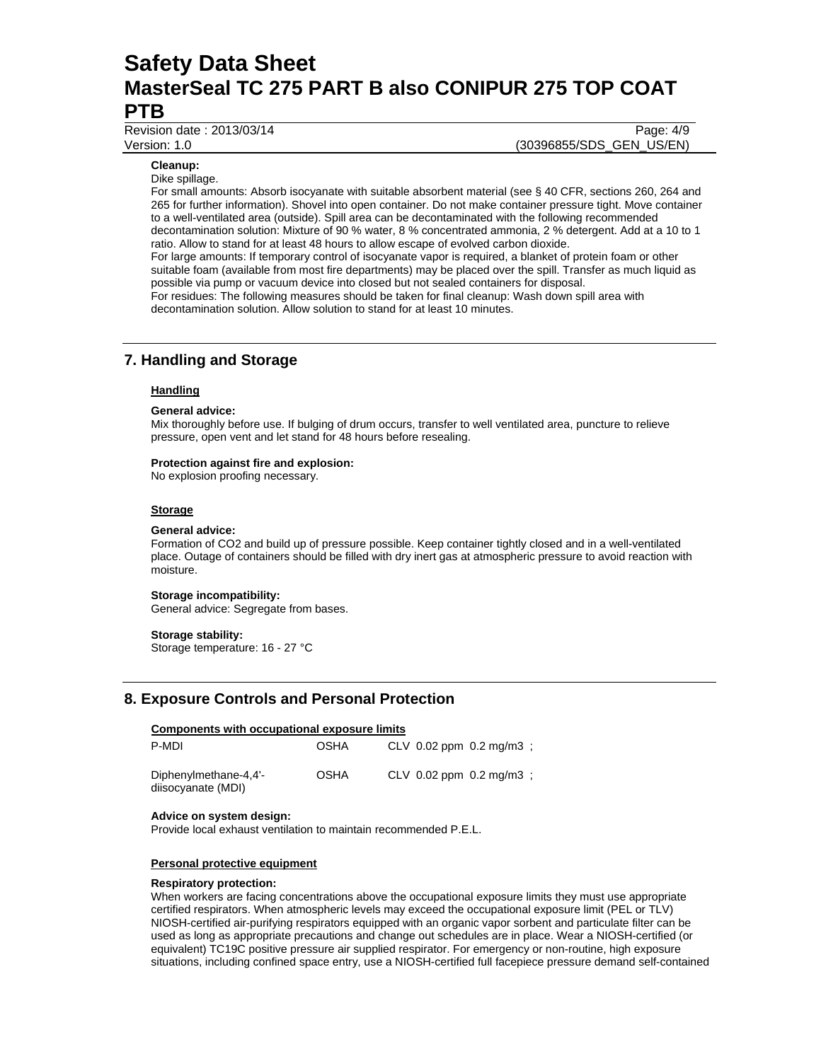Revision date : 2013/03/14 Page: 4/9

Version: 1.0 (30396855/SDS\_GEN\_US/EN)

# **Cleanup:**

Dike spillage.

For small amounts: Absorb isocyanate with suitable absorbent material (see § 40 CFR, sections 260, 264 and 265 for further information). Shovel into open container. Do not make container pressure tight. Move container to a well-ventilated area (outside). Spill area can be decontaminated with the following recommended decontamination solution: Mixture of 90 % water, 8 % concentrated ammonia, 2 % detergent. Add at a 10 to 1 ratio. Allow to stand for at least 48 hours to allow escape of evolved carbon dioxide. For large amounts: If temporary control of isocyanate vapor is required, a blanket of protein foam or other suitable foam (available from most fire departments) may be placed over the spill. Transfer as much liquid as possible via pump or vacuum device into closed but not sealed containers for disposal. For residues: The following measures should be taken for final cleanup: Wash down spill area with decontamination solution. Allow solution to stand for at least 10 minutes.

# **7. Handling and Storage**

#### **Handling**

#### **General advice:**

Mix thoroughly before use. If bulging of drum occurs, transfer to well ventilated area, puncture to relieve pressure, open vent and let stand for 48 hours before resealing.

#### **Protection against fire and explosion:**

No explosion proofing necessary.

#### **Storage**

#### **General advice:**

Formation of CO2 and build up of pressure possible. Keep container tightly closed and in a well-ventilated place. Outage of containers should be filled with dry inert gas at atmospheric pressure to avoid reaction with moisture.

#### **Storage incompatibility:**

General advice: Segregate from bases.

#### **Storage stability:**

Storage temperature: 16 - 27 °C

# **8. Exposure Controls and Personal Protection**

# **Components with occupational exposure limits**

| P-MDI                                       | <b>OSHA</b> |  | CLV $0.02$ ppm $0.2$ mg/m3 : |  |
|---------------------------------------------|-------------|--|------------------------------|--|
| Diphenylmethane-4,4'-<br>diisocyanate (MDI) | <b>OSHA</b> |  | CLV $0.02$ ppm $0.2$ mg/m3 : |  |

#### **Advice on system design:**

Provide local exhaust ventilation to maintain recommended P.E.L.

#### **Personal protective equipment**

#### **Respiratory protection:**

When workers are facing concentrations above the occupational exposure limits they must use appropriate certified respirators. When atmospheric levels may exceed the occupational exposure limit (PEL or TLV) NIOSH-certified air-purifying respirators equipped with an organic vapor sorbent and particulate filter can be used as long as appropriate precautions and change out schedules are in place. Wear a NIOSH-certified (or equivalent) TC19C positive pressure air supplied respirator. For emergency or non-routine, high exposure situations, including confined space entry, use a NIOSH-certified full facepiece pressure demand self-contained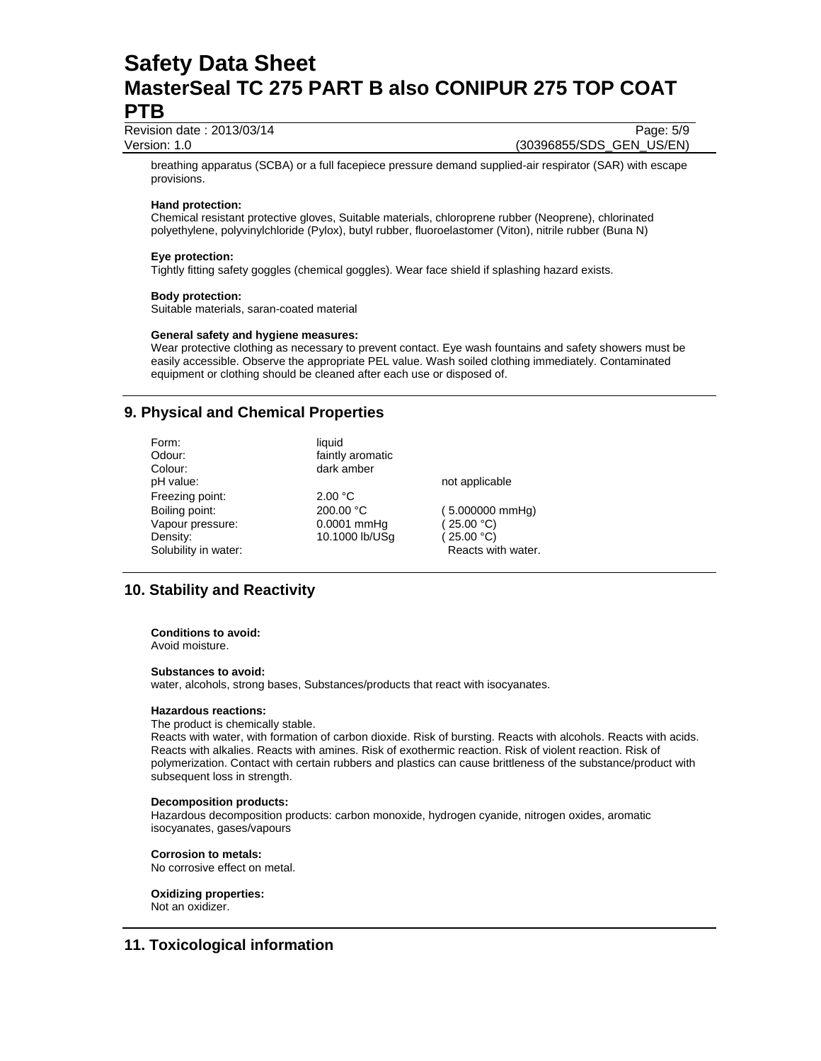Revision date : 2013/03/14 Page: 5/9

Version: 1.0 (30396855/SDS\_GEN\_US/EN)

breathing apparatus (SCBA) or a full facepiece pressure demand supplied-air respirator (SAR) with escape provisions.

# **Hand protection:**

Chemical resistant protective gloves, Suitable materials, chloroprene rubber (Neoprene), chlorinated polyethylene, polyvinylchloride (Pylox), butyl rubber, fluoroelastomer (Viton), nitrile rubber (Buna N)

## **Eye protection:**

Tightly fitting safety goggles (chemical goggles). Wear face shield if splashing hazard exists.

## **Body protection:**

Suitable materials, saran-coated material

## **General safety and hygiene measures:**

Wear protective clothing as necessary to prevent contact. Eye wash fountains and safety showers must be easily accessible. Observe the appropriate PEL value. Wash soiled clothing immediately. Contaminated equipment or clothing should be cleaned after each use or disposed of.

# **9. Physical and Chemical Properties**

| Form:<br>Odour:<br>Colour: | liquid<br>faintly aromatic<br>dark amber |                           |
|----------------------------|------------------------------------------|---------------------------|
| pH value:                  |                                          | not applicable            |
| Freezing point:            | 2.00 °C                                  |                           |
| Boiling point:             | 200.00 °C                                | $(5.000000 \text{ mmHg})$ |
| Vapour pressure:           | 0.0001 mmHq                              | (25.00 °C)                |
| Density:                   | 10.1000 lb/USq                           | (25.00 °C)                |
| Solubility in water:       |                                          | Reacts with water.        |

# **10. Stability and Reactivity**

#### **Conditions to avoid:**

Avoid moisture.

## **Substances to avoid:**

water, alcohols, strong bases, Substances/products that react with isocyanates.

## **Hazardous reactions:**

#### The product is chemically stable.

Reacts with water, with formation of carbon dioxide. Risk of bursting. Reacts with alcohols. Reacts with acids. Reacts with alkalies. Reacts with amines. Risk of exothermic reaction. Risk of violent reaction. Risk of polymerization. Contact with certain rubbers and plastics can cause brittleness of the substance/product with subsequent loss in strength.

## **Decomposition products:**

Hazardous decomposition products: carbon monoxide, hydrogen cyanide, nitrogen oxides, aromatic isocyanates, gases/vapours

## **Corrosion to metals:**

No corrosive effect on metal.

# **Oxidizing properties:**

Not an oxidizer.

# **11. Toxicological information**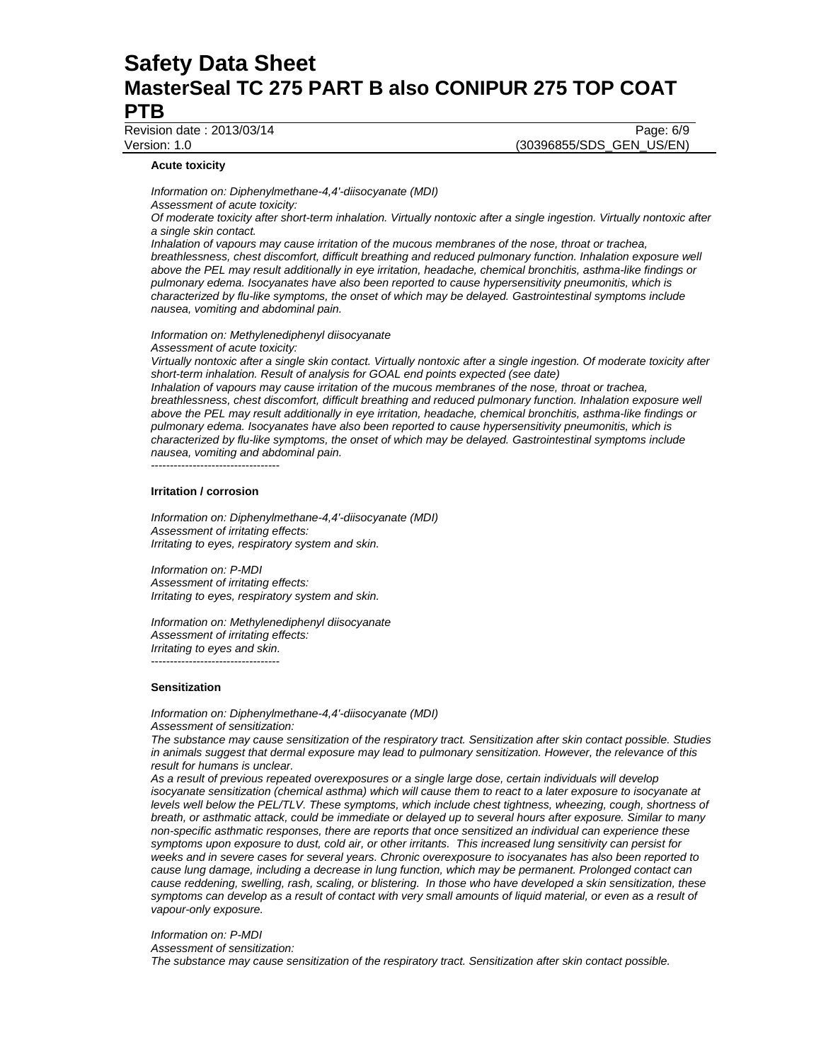Revision date : 2013/03/14 Page: 6/9

Version: 1.0 (30396855/SDS\_GEN\_US/EN)

#### **Acute toxicity**

*Information on: Diphenylmethane-4,4'-diisocyanate (MDI) Assessment of acute toxicity: Of moderate toxicity after short-term inhalation. Virtually nontoxic after a single ingestion. Virtually nontoxic after a single skin contact.* 

*Inhalation of vapours may cause irritation of the mucous membranes of the nose, throat or trachea, breathlessness, chest discomfort, difficult breathing and reduced pulmonary function. Inhalation exposure well above the PEL may result additionally in eye irritation, headache, chemical bronchitis, asthma-like findings or pulmonary edema. Isocyanates have also been reported to cause hypersensitivity pneumonitis, which is characterized by flu-like symptoms, the onset of which may be delayed. Gastrointestinal symptoms include nausea, vomiting and abdominal pain.* 

*Information on: Methylenediphenyl diisocyanate Assessment of acute toxicity:* 

*Virtually nontoxic after a single skin contact. Virtually nontoxic after a single ingestion. Of moderate toxicity after short-term inhalation. Result of analysis for GOAL end points expected (see date)* 

*Inhalation of vapours may cause irritation of the mucous membranes of the nose, throat or trachea, breathlessness, chest discomfort, difficult breathing and reduced pulmonary function. Inhalation exposure well above the PEL may result additionally in eye irritation, headache, chemical bronchitis, asthma-like findings or pulmonary edema. Isocyanates have also been reported to cause hypersensitivity pneumonitis, which is characterized by flu-like symptoms, the onset of which may be delayed. Gastrointestinal symptoms include nausea, vomiting and abdominal pain.* 

----------------------------------

# **Irritation / corrosion**

*Information on: Diphenylmethane-4,4'-diisocyanate (MDI) Assessment of irritating effects: Irritating to eyes, respiratory system and skin.* 

*Information on: P-MDI Assessment of irritating effects: Irritating to eyes, respiratory system and skin.* 

*Information on: Methylenediphenyl diisocyanate Assessment of irritating effects: Irritating to eyes and skin.*  ----------------------------------

#### **Sensitization**

*Information on: Diphenylmethane-4,4'-diisocyanate (MDI) Assessment of sensitization:* 

*The substance may cause sensitization of the respiratory tract. Sensitization after skin contact possible. Studies in animals suggest that dermal exposure may lead to pulmonary sensitization. However, the relevance of this result for humans is unclear.* 

*As a result of previous repeated overexposures or a single large dose, certain individuals will develop isocyanate sensitization (chemical asthma) which will cause them to react to a later exposure to isocyanate at levels well below the PEL/TLV. These symptoms, which include chest tightness, wheezing, cough, shortness of breath, or asthmatic attack, could be immediate or delayed up to several hours after exposure. Similar to many non-specific asthmatic responses, there are reports that once sensitized an individual can experience these symptoms upon exposure to dust, cold air, or other irritants. This increased lung sensitivity can persist for weeks and in severe cases for several years. Chronic overexposure to isocyanates has also been reported to cause lung damage, including a decrease in lung function, which may be permanent. Prolonged contact can cause reddening, swelling, rash, scaling, or blistering. In those who have developed a skin sensitization, these symptoms can develop as a result of contact with very small amounts of liquid material, or even as a result of vapour-only exposure.* 

*Information on: P-MDI* 

*Assessment of sensitization:* 

*The substance may cause sensitization of the respiratory tract. Sensitization after skin contact possible.*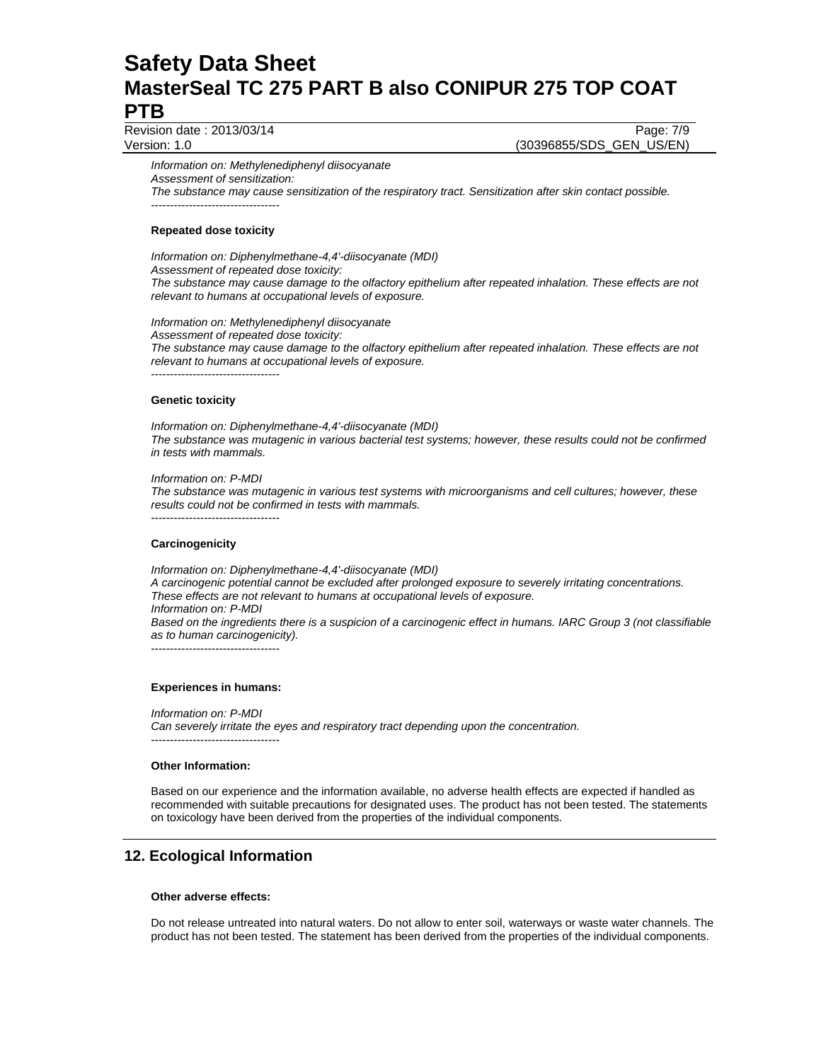Revision date : 2013/03/14 Page: 7/9

Version: 1.0 (30396855/SDS\_GEN\_US/EN)

*Information on: Methylenediphenyl diisocyanate Assessment of sensitization: The substance may cause sensitization of the respiratory tract. Sensitization after skin contact possible.*  ----------------------------------

# **Repeated dose toxicity**

*Information on: Diphenylmethane-4,4'-diisocyanate (MDI) Assessment of repeated dose toxicity: The substance may cause damage to the olfactory epithelium after repeated inhalation. These effects are not relevant to humans at occupational levels of exposure.* 

*Information on: Methylenediphenyl diisocyanate Assessment of repeated dose toxicity: The substance may cause damage to the olfactory epithelium after repeated inhalation. These effects are not relevant to humans at occupational levels of exposure.*  ----------------------------------

## **Genetic toxicity**

*Information on: Diphenylmethane-4,4'-diisocyanate (MDI) The substance was mutagenic in various bacterial test systems; however, these results could not be confirmed in tests with mammals.* 

#### *Information on: P-MDI*

*The substance was mutagenic in various test systems with microorganisms and cell cultures; however, these results could not be confirmed in tests with mammals.*  ----------------------------------

## **Carcinogenicity**

*Information on: Diphenylmethane-4,4'-diisocyanate (MDI) A carcinogenic potential cannot be excluded after prolonged exposure to severely irritating concentrations. These effects are not relevant to humans at occupational levels of exposure. Information on: P-MDI Based on the ingredients there is a suspicion of a carcinogenic effect in humans. IARC Group 3 (not classifiable as to human carcinogenicity).*  ----------------------------------

## **Experiences in humans:**

*Information on: P-MDI* 

*Can severely irritate the eyes and respiratory tract depending upon the concentration.*  ----------------------------------

## **Other Information:**

Based on our experience and the information available, no adverse health effects are expected if handled as recommended with suitable precautions for designated uses. The product has not been tested. The statements on toxicology have been derived from the properties of the individual components.

# **12. Ecological Information**

## **Other adverse effects:**

Do not release untreated into natural waters. Do not allow to enter soil, waterways or waste water channels. The product has not been tested. The statement has been derived from the properties of the individual components.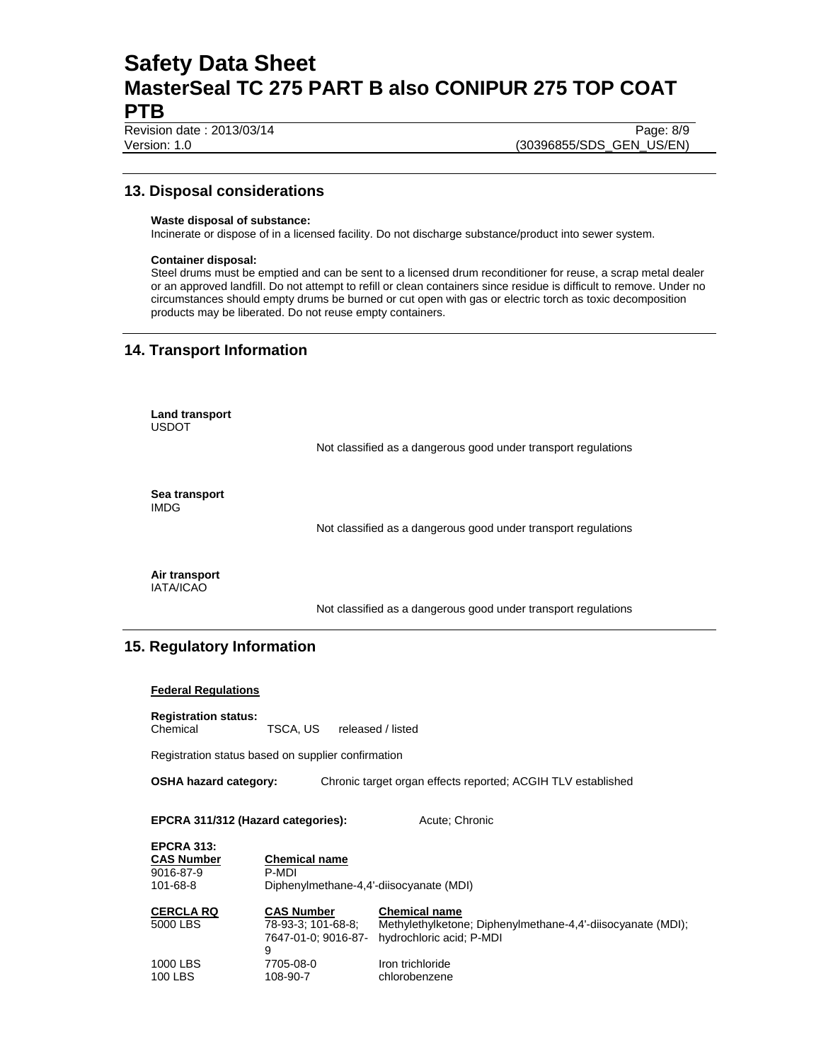Revision date : 2013/03/14 Page: 8/9

Version: 1.0 (30396855/SDS\_GEN\_US/EN)

# **13. Disposal considerations**

## **Waste disposal of substance:**

Incinerate or dispose of in a licensed facility. Do not discharge substance/product into sewer system.

### **Container disposal:**

Steel drums must be emptied and can be sent to a licensed drum reconditioner for reuse, a scrap metal dealer or an approved landfill. Do not attempt to refill or clean containers since residue is difficult to remove. Under no circumstances should empty drums be burned or cut open with gas or electric torch as toxic decomposition products may be liberated. Do not reuse empty containers.

# **14. Transport Information**

**Land transport**  USDOT

Not classified as a dangerous good under transport regulations

**Sea transport**  IMDG

Not classified as a dangerous good under transport regulations

**Air transport**  IATA/ICAO

Not classified as a dangerous good under transport regulations

# **15. Regulatory Information**

## **Federal Regulations**

**Registration status:** 

Chemical TSCA, US released / listed

Registration status based on supplier confirmation

**OSHA hazard category:** Chronic target organ effects reported; ACGIH TLV established

**EPCRA 311/312 (Hazard categories):** Acute; Chronic

| <b>EPCRA 313:</b>   |                                                |                                                                                         |
|---------------------|------------------------------------------------|-----------------------------------------------------------------------------------------|
| <b>CAS Number</b>   | <b>Chemical name</b>                           |                                                                                         |
| 9016-87-9           | P-MDI                                          |                                                                                         |
| 101-68-8            | Diphenylmethane-4,4'-diisocyanate (MDI)        |                                                                                         |
| <b>CERCLA RQ</b>    | <b>CAS Number</b>                              | <b>Chemical name</b>                                                                    |
| 5000 LBS            | 78-93-3: 101-68-8:<br>7647-01-0: 9016-87-<br>9 | Methylethylketone; Diphenylmethane-4,4'-diisocyanate (MDI);<br>hydrochloric acid; P-MDI |
| 1000 LBS<br>100 LBS | 7705-08-0<br>108-90-7                          | Iron trichloride<br>chlorobenzene                                                       |